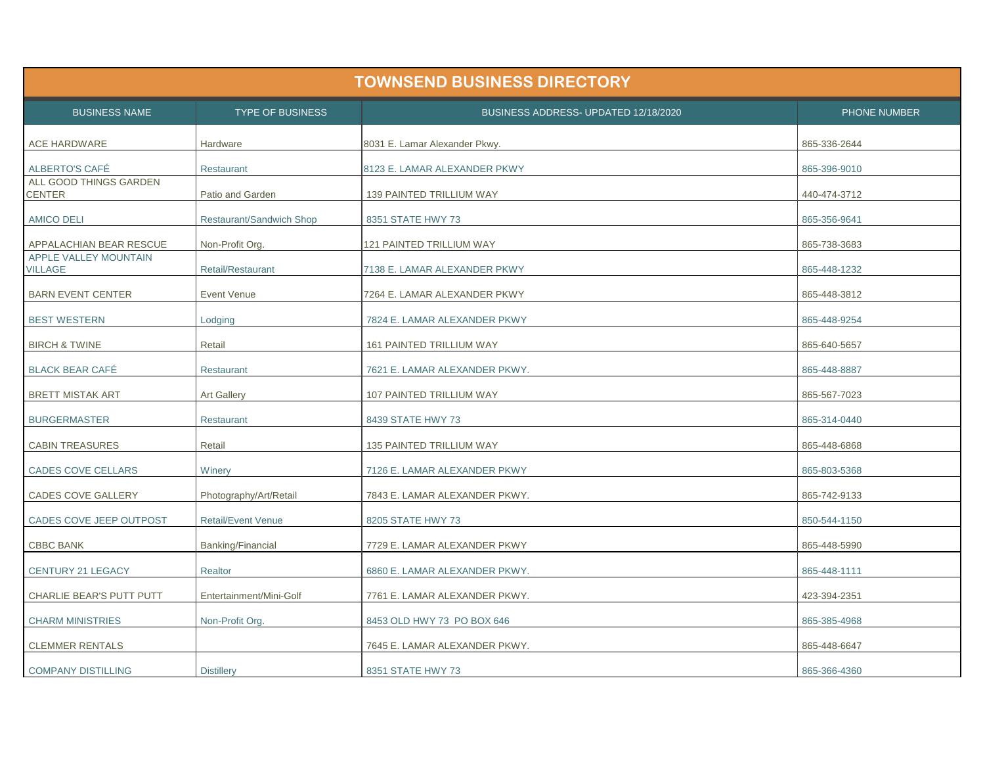| <b>TOWNSEND BUSINESS DIRECTORY</b>      |                           |                                      |              |
|-----------------------------------------|---------------------------|--------------------------------------|--------------|
| <b>BUSINESS NAME</b>                    | <b>TYPE OF BUSINESS</b>   | BUSINESS ADDRESS- UPDATED 12/18/2020 | PHONE NUMBER |
| <b>ACE HARDWARE</b>                     | Hardware                  | 8031 E. Lamar Alexander Pkwy.        | 865-336-2644 |
| ALBERTO'S CAFÉ                          | Restaurant                | 8123 E. LAMAR ALEXANDER PKWY         | 865-396-9010 |
| ALL GOOD THINGS GARDEN<br><b>CENTER</b> | Patio and Garden          | <b>139 PAINTED TRILLIUM WAY</b>      | 440-474-3712 |
| <b>AMICO DELI</b>                       | Restaurant/Sandwich Shop  | 8351 STATE HWY 73                    | 865-356-9641 |
| <b>APPALACHIAN BEAR RESCUE</b>          | Non-Profit Org.           | 121 PAINTED TRILLIUM WAY             | 865-738-3683 |
| APPLE VALLEY MOUNTAIN<br><b>VILLAGE</b> | Retail/Restaurant         | 7138 E. LAMAR ALEXANDER PKWY         | 865-448-1232 |
| <b>BARN EVENT CENTER</b>                | <b>Event Venue</b>        | 7264 E. LAMAR ALEXANDER PKWY         | 865-448-3812 |
| <b>BEST WESTERN</b>                     | Lodging                   | 7824 E. LAMAR ALEXANDER PKWY         | 865-448-9254 |
| <b>BIRCH &amp; TWINE</b>                | Retail                    | <b>161 PAINTED TRILLIUM WAY</b>      | 865-640-5657 |
| <b>BLACK BEAR CAFE</b>                  | Restaurant                | 7621 E. LAMAR ALEXANDER PKWY.        | 865-448-8887 |
| <b>BRETT MISTAK ART</b>                 | <b>Art Gallery</b>        | <b>107 PAINTED TRILLIUM WAY</b>      | 865-567-7023 |
| <b>BURGERMASTER</b>                     | Restaurant                | 8439 STATE HWY 73                    | 865-314-0440 |
| <b>CABIN TREASURES</b>                  | Retail                    | 135 PAINTED TRILLIUM WAY             | 865-448-6868 |
| <b>CADES COVE CELLARS</b>               | Winery                    | 7126 E. LAMAR ALEXANDER PKWY         | 865-803-5368 |
| <b>CADES COVE GALLERY</b>               | Photography/Art/Retail    | 7843 E. LAMAR ALEXANDER PKWY.        | 865-742-9133 |
| <b>CADES COVE JEEP OUTPOST</b>          | <b>Retail/Event Venue</b> | 8205 STATE HWY 73                    | 850-544-1150 |
| <b>CBBC BANK</b>                        | Banking/Financial         | 7729 E. LAMAR ALEXANDER PKWY         | 865-448-5990 |
| CENTURY 21 LEGACY                       | Realtor                   | 6860 E. LAMAR ALEXANDER PKWY.        | 865-448-1111 |
| CHARLIE BEAR'S PUTT PUTT                | Entertainment/Mini-Golf   | 7761 E. LAMAR ALEXANDER PKWY.        | 423-394-2351 |
| <b>CHARM MINISTRIES</b>                 | Non-Profit Org.           | 8453 OLD HWY 73 PO BOX 646           | 865-385-4968 |
| <b>CLEMMER RENTALS</b>                  |                           | 7645 E. LAMAR ALEXANDER PKWY.        | 865-448-6647 |
| <b>COMPANY DISTILLING</b>               | <b>Distillery</b>         | 8351 STATE HWY 73                    | 865-366-4360 |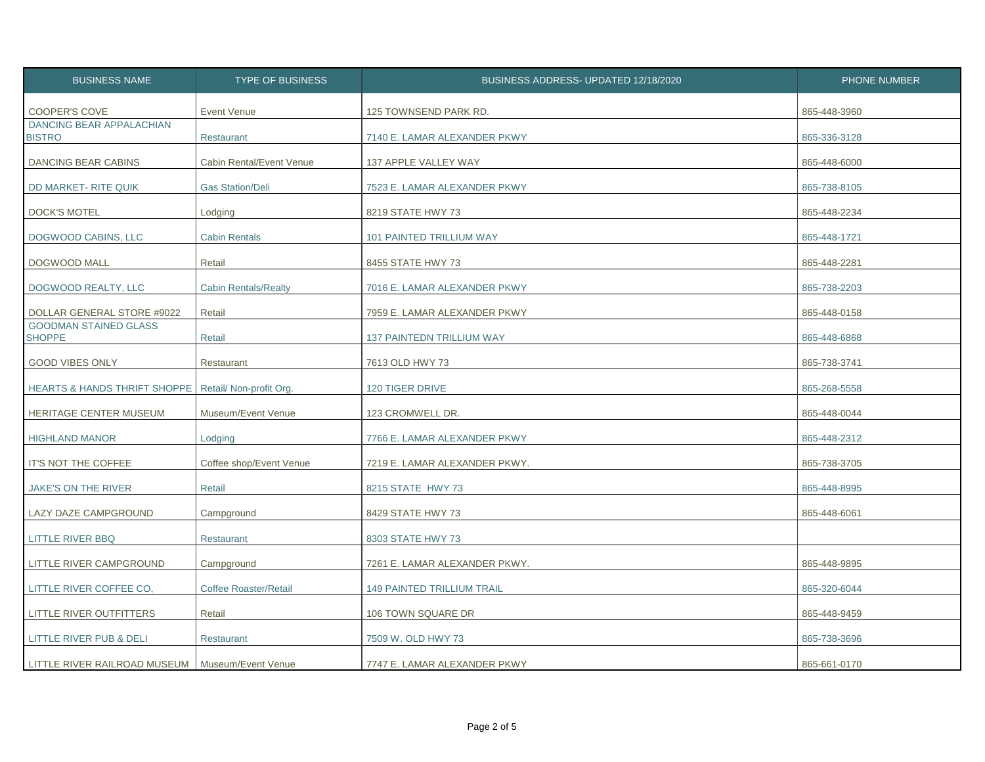| <b>BUSINESS NAME</b>                              | <b>TYPE OF BUSINESS</b>     | BUSINESS ADDRESS- UPDATED 12/18/2020 | PHONE NUMBER |
|---------------------------------------------------|-----------------------------|--------------------------------------|--------------|
| COOPER'S COVE                                     | <b>Event Venue</b>          | 125 TOWNSEND PARK RD.                | 865-448-3960 |
| DANCING BEAR APPALACHIAN<br>BISTRO                | Restaurant                  | 7140 E. LAMAR ALEXANDER PKWY         | 865-336-3128 |
| DANCING BEAR CABINS                               | Cabin Rental/Event Venue    | 137 APPLE VALLEY WAY                 | 865-448-6000 |
| DD MARKET- RITE QUIK                              | <b>Gas Station/Deli</b>     | 7523 E. LAMAR ALEXANDER PKWY         | 865-738-8105 |
| DOCK'S MOTEL                                      | Lodging                     | 8219 STATE HWY 73                    | 865-448-2234 |
| DOGWOOD CABINS, LLC                               | <b>Cabin Rentals</b>        | <b>101 PAINTED TRILLIUM WAY</b>      | 865-448-1721 |
| DOGWOOD MALL                                      | Retail                      | 8455 STATE HWY 73                    | 865-448-2281 |
| DOGWOOD REALTY, LLC                               | <b>Cabin Rentals/Realty</b> | 7016 E. LAMAR ALEXANDER PKWY         | 865-738-2203 |
| DOLLAR GENERAL STORE #9022                        | Retail                      | 7959 E. LAMAR ALEXANDER PKWY         | 865-448-0158 |
| <b>GOODMAN STAINED GLASS</b><br><b>SHOPPE</b>     | Retail                      | <b>137 PAINTEDN TRILLIUM WAY</b>     | 865-448-6868 |
| <b>GOOD VIBES ONLY</b>                            | Restaurant                  | 7613 OLD HWY 73                      | 865-738-3741 |
| <b>HEARTS &amp; HANDS THRIFT SHOPPE</b>           | Retail/ Non-profit Org.     | 120 TIGER DRIVE                      | 865-268-5558 |
| HERITAGE CENTER MUSEUM                            | Museum/Event Venue          | 123 CROMWELL DR.                     | 865-448-0044 |
| <b>HIGHLAND MANOR</b>                             | Lodging                     | 7766 E. LAMAR ALEXANDER PKWY         | 865-448-2312 |
| IT'S NOT THE COFFEE                               | Coffee shop/Event Venue     | 7219 E. LAMAR ALEXANDER PKWY.        | 865-738-3705 |
| <b>JAKE'S ON THE RIVER</b>                        | Retail                      | 8215 STATE HWY 73                    | 865-448-8995 |
| LAZY DAZE CAMPGROUND                              | Campground                  | 8429 STATE HWY 73                    | 865-448-6061 |
| <b>LITTLE RIVER BBQ</b>                           | Restaurant                  | 8303 STATE HWY 73                    |              |
| LITTLE RIVER CAMPGROUND                           | Campground                  | 7261 E. LAMAR ALEXANDER PKWY.        | 865-448-9895 |
| LITTLE RIVER COFFEE CO,                           | Coffee Roaster/Retail       | <b>149 PAINTED TRILLIUM TRAIL</b>    | 865-320-6044 |
| LITTLE RIVER OUTFITTERS                           | Retail                      | 106 TOWN SQUARE DR                   | 865-448-9459 |
| LITTLE RIVER PUB & DELI                           | Restaurant                  | 7509 W. OLD HWY 73                   | 865-738-3696 |
| LITTLE RIVER RAILROAD MUSEUM   Museum/Event Venue |                             | 7747 E. LAMAR ALEXANDER PKWY         | 865-661-0170 |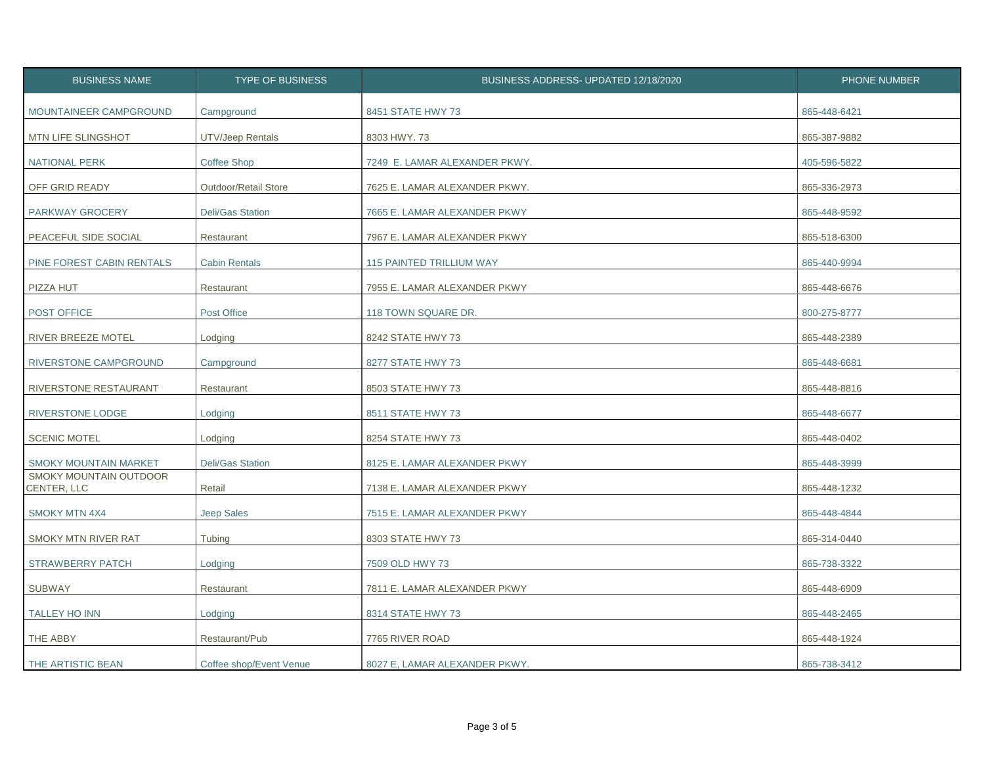| <b>BUSINESS NAME</b>                         | <b>TYPE OF BUSINESS</b> | BUSINESS ADDRESS- UPDATED 12/18/2020 | PHONE NUMBER |
|----------------------------------------------|-------------------------|--------------------------------------|--------------|
| MOUNTAINEER CAMPGROUND                       | Campground              | 8451 STATE HWY 73                    | 865-448-6421 |
| MTN LIFE SLINGSHOT                           | <b>UTV/Jeep Rentals</b> | 8303 HWY. 73                         | 865-387-9882 |
| NATIONAL PERK                                | <b>Coffee Shop</b>      | 7249 E. LAMAR ALEXANDER PKWY.        | 405-596-5822 |
| OFF GRID READY                               | Outdoor/Retail Store    | 7625 E. LAMAR ALEXANDER PKWY.        | 865-336-2973 |
| PARKWAY GROCERY                              | <b>Deli/Gas Station</b> | 7665 E. LAMAR ALEXANDER PKWY         | 865-448-9592 |
| PEACEFUL SIDE SOCIAL                         | Restaurant              | 7967 E. LAMAR ALEXANDER PKWY         | 865-518-6300 |
| PINE FOREST CABIN RENTALS                    | <b>Cabin Rentals</b>    | <b>115 PAINTED TRILLIUM WAY</b>      | 865-440-9994 |
| PIZZA HUT                                    | Restaurant              | 7955 E. LAMAR ALEXANDER PKWY         | 865-448-6676 |
| POST OFFICE                                  | Post Office             | 118 TOWN SQUARE DR.                  | 800-275-8777 |
| RIVER BREEZE MOTEL                           | Lodging                 | 8242 STATE HWY 73                    | 865-448-2389 |
| RIVERSTONE CAMPGROUND                        | Campground              | 8277 STATE HWY 73                    | 865-448-6681 |
| RIVERSTONE RESTAURANT                        | Restaurant              | 8503 STATE HWY 73                    | 865-448-8816 |
| RIVERSTONE LODGE                             | Lodging                 | 8511 STATE HWY 73                    | 865-448-6677 |
| <b>SCENIC MOTEL</b>                          | Lodging                 | 8254 STATE HWY 73                    | 865-448-0402 |
| <b>SMOKY MOUNTAIN MARKET</b>                 | <b>Deli/Gas Station</b> | 8125 E. LAMAR ALEXANDER PKWY         | 865-448-3999 |
| <b>SMOKY MOUNTAIN OUTDOOR</b><br>CENTER, LLC | Retail                  | 7138 E. LAMAR ALEXANDER PKWY         | 865-448-1232 |
| <b>SMOKY MTN 4X4</b>                         | <b>Jeep Sales</b>       | 7515 E. LAMAR ALEXANDER PKWY         | 865-448-4844 |
| SMOKY MTN RIVER RAT                          | Tubing                  | 8303 STATE HWY 73                    | 865-314-0440 |
| <b>STRAWBERRY PATCH</b>                      | Lodging                 | 7509 OLD HWY 73                      | 865-738-3322 |
| <b>SUBWAY</b>                                | Restaurant              | 7811 E. LAMAR ALEXANDER PKWY         | 865-448-6909 |
| <b>TALLEY HO INN</b>                         | Lodging                 | 8314 STATE HWY 73                    | 865-448-2465 |
| THE ABBY                                     | Restaurant/Pub          | 7765 RIVER ROAD                      | 865-448-1924 |
| THE ARTISTIC BEAN                            | Coffee shop/Event Venue | 8027 E, LAMAR ALEXANDER PKWY.        | 865-738-3412 |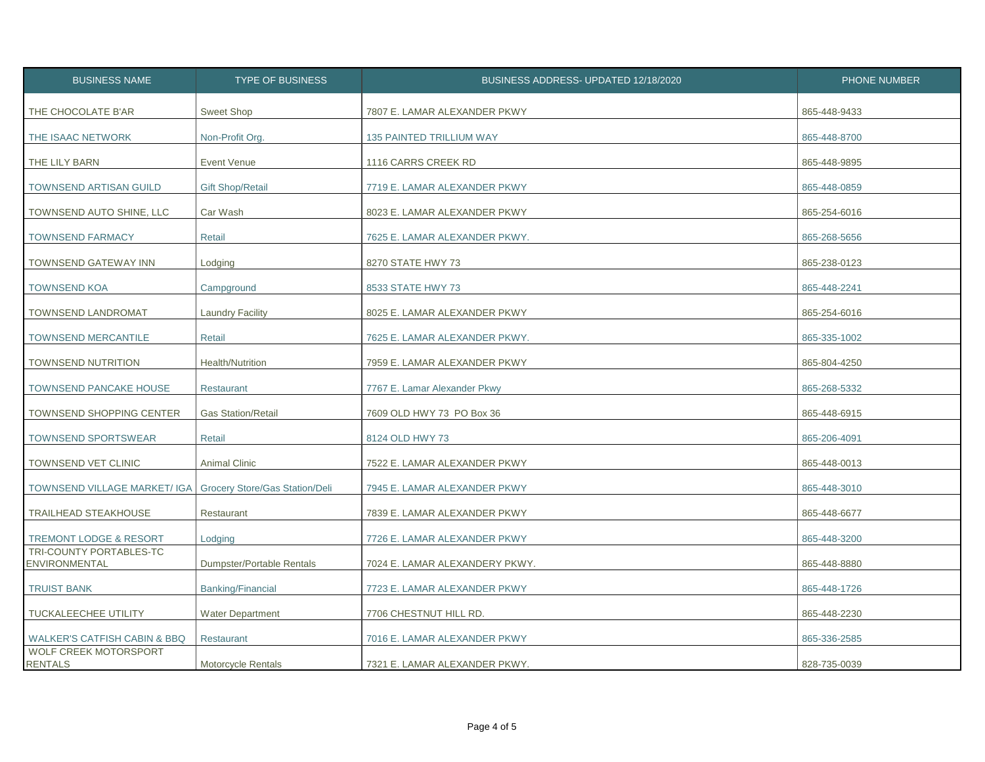| <b>BUSINESS NAME</b>                                                    | <b>TYPE OF BUSINESS</b>        | BUSINESS ADDRESS- UPDATED 12/18/2020 | PHONE NUMBER |
|-------------------------------------------------------------------------|--------------------------------|--------------------------------------|--------------|
| THE CHOCOLATE B'AR                                                      | <b>Sweet Shop</b>              | 7807 E. LAMAR ALEXANDER PKWY         | 865-448-9433 |
| THE ISAAC NETWORK                                                       | Non-Profit Org.                | <b>135 PAINTED TRILLIUM WAY</b>      | 865-448-8700 |
| THE LILY BARN                                                           | <b>Event Venue</b>             | 1116 CARRS CREEK RD                  | 865-448-9895 |
| <b>TOWNSEND ARTISAN GUILD</b>                                           | <b>Gift Shop/Retail</b>        | 7719 E. LAMAR ALEXANDER PKWY         | 865-448-0859 |
| TOWNSEND AUTO SHINE, LLC                                                | Car Wash                       | 8023 E. LAMAR ALEXANDER PKWY         | 865-254-6016 |
| <b>TOWNSEND FARMACY</b>                                                 | <b>Retail</b>                  | 7625 E. LAMAR ALEXANDER PKWY.        | 865-268-5656 |
| <b>TOWNSEND GATEWAY INN</b>                                             | Lodging                        | 8270 STATE HWY 73                    | 865-238-0123 |
| <b>TOWNSEND KOA</b>                                                     | Campground                     | 8533 STATE HWY 73                    | 865-448-2241 |
| TOWNSEND LANDROMAT                                                      | <b>Laundry Facility</b>        | 8025 E. LAMAR ALEXANDER PKWY         | 865-254-6016 |
| <b>TOWNSEND MERCANTILE</b>                                              | Retail                         | 7625 E. LAMAR ALEXANDER PKWY.        | 865-335-1002 |
| <b>TOWNSEND NUTRITION</b>                                               | Health/Nutrition               | 7959 E. LAMAR ALEXANDER PKWY         | 865-804-4250 |
| <b>TOWNSEND PANCAKE HOUSE</b>                                           | Restaurant                     | 7767 E. Lamar Alexander Pkwy         | 865-268-5332 |
| TOWNSEND SHOPPING CENTER                                                | <b>Gas Station/Retail</b>      | 7609 OLD HWY 73 PO Box 36            | 865-448-6915 |
| <b>TOWNSEND SPORTSWEAR</b>                                              | Retail                         | 8124 OLD HWY 73                      | 865-206-4091 |
| TOWNSEND VET CLINIC                                                     | Animal Clinic                  | 7522 E. LAMAR ALEXANDER PKWY         | 865-448-0013 |
| <b>TOWNSEND VILLAGE MARKET/ IGA</b>                                     | Grocery Store/Gas Station/Deli | 7945 E. LAMAR ALEXANDER PKWY         | 865-448-3010 |
| TRAILHEAD STEAKHOUSE                                                    | Restaurant                     | 7839 E. LAMAR ALEXANDER PKWY         | 865-448-6677 |
| <b>TREMONT LODGE &amp; RESORT</b>                                       | Lodging                        | 7726 E. LAMAR ALEXANDER PKWY         | 865-448-3200 |
| TRI-COUNTY PORTABLES-TC                                                 |                                |                                      |              |
| ENVIRONMENTAL                                                           | Dumpster/Portable Rentals      | 7024 E. LAMAR ALEXANDERY PKWY.       | 865-448-8880 |
| <b>TRUIST BANK</b>                                                      | Banking/Financial              | 7723 E. LAMAR ALEXANDER PKWY         | 865-448-1726 |
| TUCKALEECHEE UTILITY                                                    | <b>Water Department</b>        | 7706 CHESTNUT HILL RD.               | 865-448-2230 |
|                                                                         |                                |                                      |              |
| <b>WALKER'S CATFISH CABIN &amp; BBQ</b><br><b>WOLF CREEK MOTORSPORT</b> | Restaurant                     | 7016 E. LAMAR ALEXANDER PKWY         | 865-336-2585 |
| RENTALS                                                                 | Motorcycle Rentals             | 7321 E. LAMAR ALEXANDER PKWY.        | 828-735-0039 |